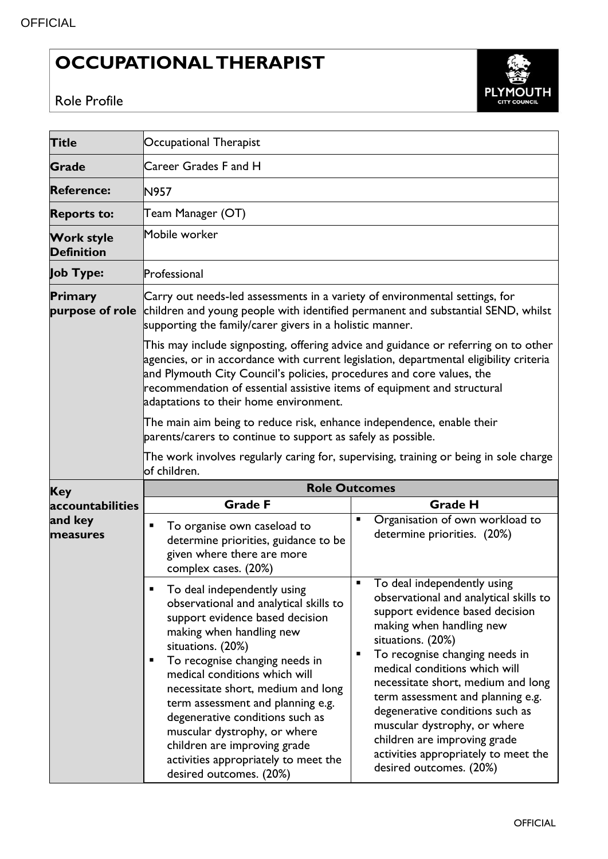## **OCCUPATIONAL THERAPIST**





| <b>Title</b>                           | Occupational Therapist                                                                                                                                                                                                                                                                                                                                                                                                                                                                                                                                                                                                                                                                                                                                                                                  |  |  |
|----------------------------------------|---------------------------------------------------------------------------------------------------------------------------------------------------------------------------------------------------------------------------------------------------------------------------------------------------------------------------------------------------------------------------------------------------------------------------------------------------------------------------------------------------------------------------------------------------------------------------------------------------------------------------------------------------------------------------------------------------------------------------------------------------------------------------------------------------------|--|--|
| <b>Grade</b>                           | Career Grades F and H                                                                                                                                                                                                                                                                                                                                                                                                                                                                                                                                                                                                                                                                                                                                                                                   |  |  |
| <b>Reference:</b>                      | N957                                                                                                                                                                                                                                                                                                                                                                                                                                                                                                                                                                                                                                                                                                                                                                                                    |  |  |
| <b>Reports to:</b>                     | Team Manager (OT)                                                                                                                                                                                                                                                                                                                                                                                                                                                                                                                                                                                                                                                                                                                                                                                       |  |  |
| <b>Work style</b><br><b>Definition</b> | Mobile worker                                                                                                                                                                                                                                                                                                                                                                                                                                                                                                                                                                                                                                                                                                                                                                                           |  |  |
| Job Type:                              | Professional                                                                                                                                                                                                                                                                                                                                                                                                                                                                                                                                                                                                                                                                                                                                                                                            |  |  |
| Primary<br>purpose of role             | Carry out needs-led assessments in a variety of environmental settings, for<br>children and young people with identified permanent and substantial SEND, whilst<br>supporting the family/carer givers in a holistic manner.                                                                                                                                                                                                                                                                                                                                                                                                                                                                                                                                                                             |  |  |
|                                        | This may include signposting, offering advice and guidance or referring on to other<br>agencies, or in accordance with current legislation, departmental eligibility criteria<br>and Plymouth City Council's policies, procedures and core values, the<br>recommendation of essential assistive items of equipment and structural<br>adaptations to their home environment.                                                                                                                                                                                                                                                                                                                                                                                                                             |  |  |
|                                        | The main aim being to reduce risk, enhance independence, enable their<br>parents/carers to continue to support as safely as possible.                                                                                                                                                                                                                                                                                                                                                                                                                                                                                                                                                                                                                                                                   |  |  |
|                                        | The work involves regularly caring for, supervising, training or being in sole charge<br>lof children.                                                                                                                                                                                                                                                                                                                                                                                                                                                                                                                                                                                                                                                                                                  |  |  |
| <b>Key</b>                             | <b>Role Outcomes</b>                                                                                                                                                                                                                                                                                                                                                                                                                                                                                                                                                                                                                                                                                                                                                                                    |  |  |
| accountabilities                       | <b>Grade F</b><br><b>Grade H</b>                                                                                                                                                                                                                                                                                                                                                                                                                                                                                                                                                                                                                                                                                                                                                                        |  |  |
| and key<br>measures                    | Organisation of own workload to<br>п<br>To organise own caseload to<br>determine priorities. (20%)<br>determine priorities, guidance to be<br>given where there are more<br>complex cases. (20%)                                                                                                                                                                                                                                                                                                                                                                                                                                                                                                                                                                                                        |  |  |
|                                        | To deal independently using<br>п<br>To deal independently using<br>observational and analytical skills to<br>observational and analytical skills to<br>support evidence based decision<br>support evidence based decision<br>making when handling new<br>making when handling new<br>situations. (20%)<br>situations. (20%)<br>To recognise changing needs in<br>ш<br>To recognise changing needs in<br>п<br>medical conditions which will<br>medical conditions which will<br>necessitate short, medium and long<br>necessitate short, medium and long<br>term assessment and planning e.g.<br>term assessment and planning e.g.<br>degenerative conditions such as<br>degenerative conditions such as<br>muscular dystrophy, or where<br>muscular dystrophy, or where<br>children are improving grade |  |  |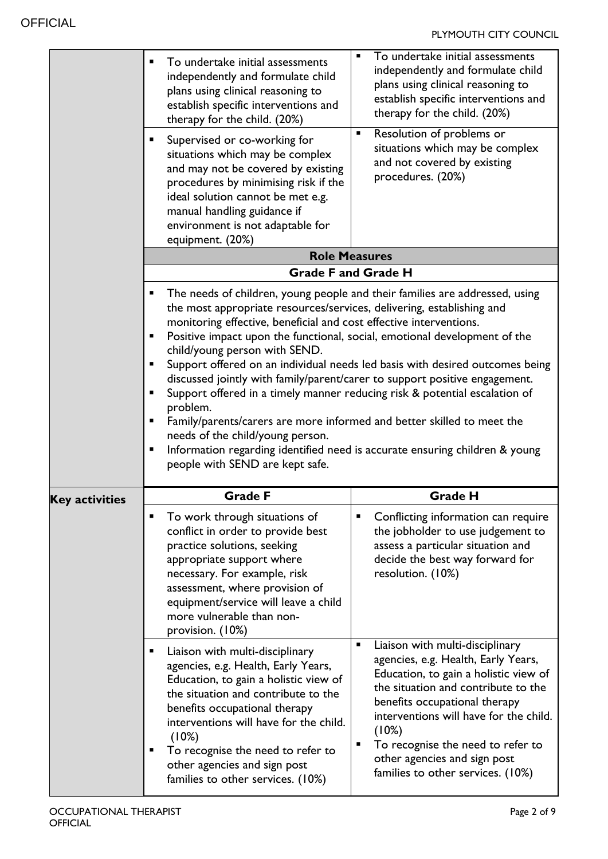|                       | To undertake initial assessments<br>Π<br>independently and formulate child<br>plans using clinical reasoning to<br>establish specific interventions and<br>therapy for the child. (20%)<br>Supervised or co-working for<br>٠<br>situations which may be complex<br>and may not be covered by existing<br>procedures by minimising risk if the<br>ideal solution cannot be met e.g.<br>manual handling guidance if<br>environment is not adaptable for<br>equipment. (20%)                                                          | To undertake initial assessments<br>$\blacksquare$<br>independently and formulate child<br>plans using clinical reasoning to<br>establish specific interventions and<br>therapy for the child. (20%)<br>Resolution of problems or<br>٠<br>situations which may be complex<br>and not covered by existing<br>procedures. (20%)                             |
|-----------------------|------------------------------------------------------------------------------------------------------------------------------------------------------------------------------------------------------------------------------------------------------------------------------------------------------------------------------------------------------------------------------------------------------------------------------------------------------------------------------------------------------------------------------------|-----------------------------------------------------------------------------------------------------------------------------------------------------------------------------------------------------------------------------------------------------------------------------------------------------------------------------------------------------------|
|                       |                                                                                                                                                                                                                                                                                                                                                                                                                                                                                                                                    | <b>Role Measures</b>                                                                                                                                                                                                                                                                                                                                      |
|                       |                                                                                                                                                                                                                                                                                                                                                                                                                                                                                                                                    | <b>Grade F and Grade H</b>                                                                                                                                                                                                                                                                                                                                |
|                       | Е<br>the most appropriate resources/services, delivering, establishing and<br>monitoring effective, beneficial and cost effective interventions.<br>Positive impact upon the functional, social, emotional development of the<br>Е<br>child/young person with SEND.<br>П<br>Support offered in a timely manner reducing risk & potential escalation of<br>٠<br>problem.<br>Family/parents/carers are more informed and better skilled to meet the<br>Е<br>needs of the child/young person.<br>Е<br>people with SEND are kept safe. | The needs of children, young people and their families are addressed, using<br>Support offered on an individual needs led basis with desired outcomes being<br>discussed jointly with family/parent/carer to support positive engagement.<br>Information regarding identified need is accurate ensuring children & young                                  |
|                       | <b>Grade F</b>                                                                                                                                                                                                                                                                                                                                                                                                                                                                                                                     | <b>Grade H</b>                                                                                                                                                                                                                                                                                                                                            |
| <b>Key activities</b> | To work through situations of<br>conflict in order to provide best<br>practice solutions, seeking<br>appropriate support where<br>necessary. For example, risk<br>assessment, where provision of<br>equipment/service will leave a child<br>more vulnerable than non-<br>provision. (10%)                                                                                                                                                                                                                                          | Conflicting information can require<br>ш<br>the jobholder to use judgement to<br>assess a particular situation and<br>decide the best way forward for<br>resolution. (10%)                                                                                                                                                                                |
|                       | Liaison with multi-disciplinary<br>agencies, e.g. Health, Early Years,<br>Education, to gain a holistic view of<br>the situation and contribute to the<br>benefits occupational therapy<br>interventions will have for the child.<br>(10%)<br>To recognise the need to refer to<br>other agencies and sign post<br>families to other services. (10%)                                                                                                                                                                               | Liaison with multi-disciplinary<br>٠<br>agencies, e.g. Health, Early Years,<br>Education, to gain a holistic view of<br>the situation and contribute to the<br>benefits occupational therapy<br>interventions will have for the child.<br>(10%)<br>To recognise the need to refer to<br>other agencies and sign post<br>families to other services. (10%) |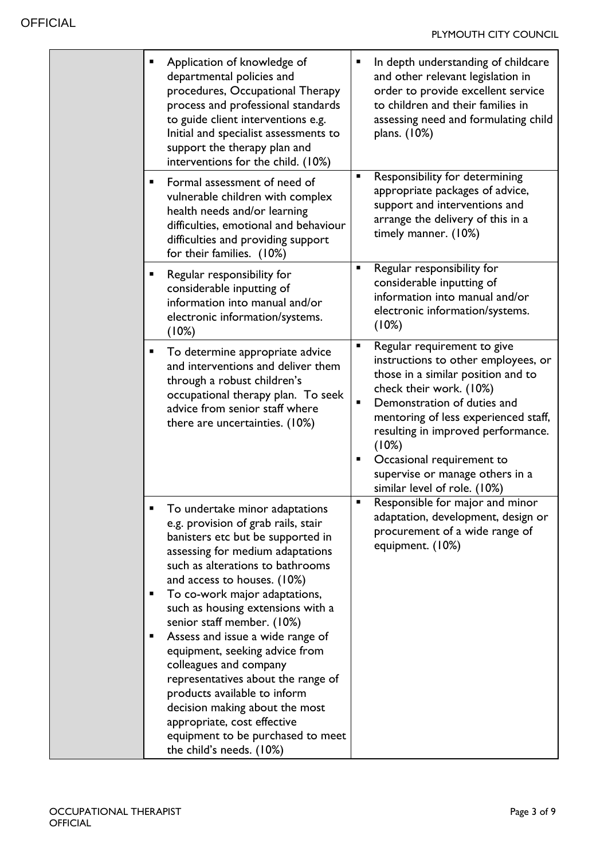| ٠ | Application of knowledge of<br>departmental policies and<br>procedures, Occupational Therapy<br>process and professional standards<br>to guide client interventions e.g.<br>Initial and specialist assessments to<br>support the therapy plan and<br>interventions for the child. (10%)                               |        | In depth understanding of childcare<br>and other relevant legislation in<br>order to provide excellent service<br>to children and their families in<br>assessing need and formulating child<br>plans. (10%)                                                                                                                                               |
|---|-----------------------------------------------------------------------------------------------------------------------------------------------------------------------------------------------------------------------------------------------------------------------------------------------------------------------|--------|-----------------------------------------------------------------------------------------------------------------------------------------------------------------------------------------------------------------------------------------------------------------------------------------------------------------------------------------------------------|
| ٠ | Formal assessment of need of<br>vulnerable children with complex<br>health needs and/or learning<br>difficulties, emotional and behaviour<br>difficulties and providing support<br>for their families. (10%)                                                                                                          |        | Responsibility for determining<br>appropriate packages of advice,<br>support and interventions and<br>arrange the delivery of this in a<br>timely manner. (10%)                                                                                                                                                                                           |
| п | Regular responsibility for<br>considerable inputting of<br>information into manual and/or<br>electronic information/systems.<br>(10%)                                                                                                                                                                                 |        | Regular responsibility for<br>considerable inputting of<br>information into manual and/or<br>electronic information/systems.<br>(10%)                                                                                                                                                                                                                     |
| п | To determine appropriate advice<br>and interventions and deliver them<br>through a robust children's<br>occupational therapy plan. To seek<br>advice from senior staff where<br>there are uncertainties. (10%)                                                                                                        | п<br>٠ | Regular requirement to give<br>instructions to other employees, or<br>those in a similar position and to<br>check their work. (10%)<br>Demonstration of duties and<br>mentoring of less experienced staff,<br>resulting in improved performance.<br>(10%)<br>Occasional requirement to<br>supervise or manage others in a<br>similar level of role. (10%) |
| п | To undertake minor adaptations<br>e.g. provision of grab rails, stair<br>banisters etc but be supported in<br>assessing for medium adaptations<br>such as alterations to bathrooms<br>and access to houses. (10%)<br>To co-work major adaptations,<br>such as housing extensions with a<br>senior staff member. (10%) | ٠      | Responsible for major and minor<br>adaptation, development, design or<br>procurement of a wide range of<br>equipment. (10%)                                                                                                                                                                                                                               |
| п | Assess and issue a wide range of<br>equipment, seeking advice from<br>colleagues and company<br>representatives about the range of<br>products available to inform<br>decision making about the most<br>appropriate, cost effective<br>equipment to be purchased to meet<br>the child's needs. (10%)                  |        |                                                                                                                                                                                                                                                                                                                                                           |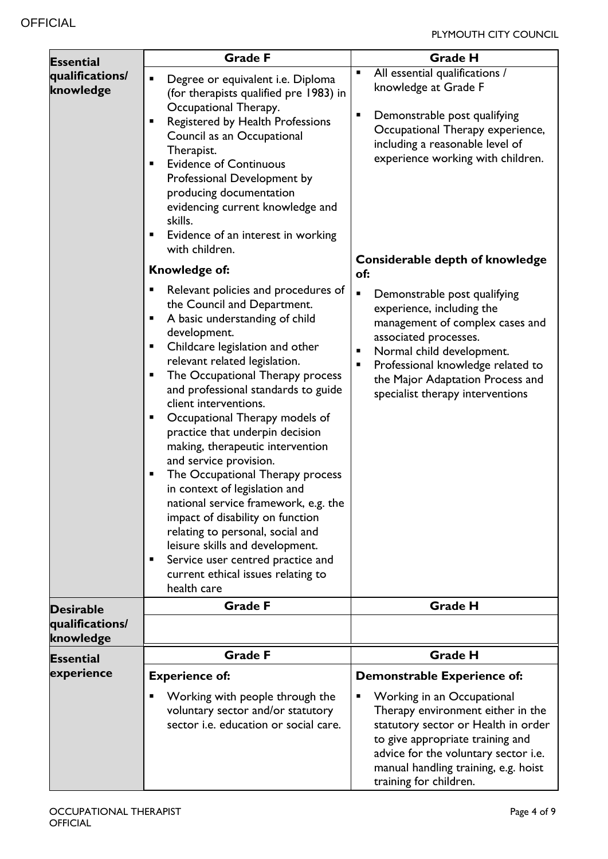| <b>Essential</b>             | <b>Grade F</b>                                                                                                                                                                                                                                                                                                                                                                                                                                                                                                                                                                                                                                                                                                                                                                       | <b>Grade H</b>                                                                                                                                                                                                                                                                         |
|------------------------------|--------------------------------------------------------------------------------------------------------------------------------------------------------------------------------------------------------------------------------------------------------------------------------------------------------------------------------------------------------------------------------------------------------------------------------------------------------------------------------------------------------------------------------------------------------------------------------------------------------------------------------------------------------------------------------------------------------------------------------------------------------------------------------------|----------------------------------------------------------------------------------------------------------------------------------------------------------------------------------------------------------------------------------------------------------------------------------------|
| qualifications/<br>knowledge | Degree or equivalent i.e. Diploma<br>$\blacksquare$<br>(for therapists qualified pre 1983) in<br>Occupational Therapy.<br>Registered by Health Professions<br>$\blacksquare$<br>Council as an Occupational<br>Therapist.<br><b>Evidence of Continuous</b><br>$\blacksquare$<br>Professional Development by<br>producing documentation<br>evidencing current knowledge and<br>skills.<br>Evidence of an interest in working<br>Е<br>with children.                                                                                                                                                                                                                                                                                                                                    | All essential qualifications /<br>п<br>knowledge at Grade F<br>П<br>Demonstrable post qualifying<br>Occupational Therapy experience,<br>including a reasonable level of<br>experience working with children.                                                                           |
|                              | Knowledge of:                                                                                                                                                                                                                                                                                                                                                                                                                                                                                                                                                                                                                                                                                                                                                                        | Considerable depth of knowledge<br>of:                                                                                                                                                                                                                                                 |
|                              | Relevant policies and procedures of<br>Е<br>the Council and Department.<br>A basic understanding of child<br>п<br>development.<br>Childcare legislation and other<br>п<br>relevant related legislation.<br>The Occupational Therapy process<br>Е<br>and professional standards to guide<br>client interventions.<br>Occupational Therapy models of<br>Е<br>practice that underpin decision<br>making, therapeutic intervention<br>and service provision.<br>The Occupational Therapy process<br>п<br>in context of legislation and<br>national service framework, e.g. the<br>impact of disability on function<br>relating to personal, social and<br>leisure skills and development.<br>Service user centred practice and<br>п<br>current ethical issues relating to<br>health care | $\blacksquare$<br>Demonstrable post qualifying<br>experience, including the<br>management of complex cases and<br>associated processes.<br>Normal child development.<br>Professional knowledge related to<br>п<br>the Major Adaptation Process and<br>specialist therapy interventions |
| <b>Desirable</b>             | <b>Grade F</b>                                                                                                                                                                                                                                                                                                                                                                                                                                                                                                                                                                                                                                                                                                                                                                       | <b>Grade H</b>                                                                                                                                                                                                                                                                         |
| qualifications/<br>knowledge |                                                                                                                                                                                                                                                                                                                                                                                                                                                                                                                                                                                                                                                                                                                                                                                      |                                                                                                                                                                                                                                                                                        |
| <b>Essential</b>             | <b>Grade F</b>                                                                                                                                                                                                                                                                                                                                                                                                                                                                                                                                                                                                                                                                                                                                                                       | <b>Grade H</b>                                                                                                                                                                                                                                                                         |
| experience                   | <b>Experience of:</b>                                                                                                                                                                                                                                                                                                                                                                                                                                                                                                                                                                                                                                                                                                                                                                | Demonstrable Experience of:                                                                                                                                                                                                                                                            |
|                              | Working with people through the<br>п<br>voluntary sector and/or statutory<br>sector i.e. education or social care.                                                                                                                                                                                                                                                                                                                                                                                                                                                                                                                                                                                                                                                                   | Working in an Occupational<br>Е<br>Therapy environment either in the<br>statutory sector or Health in order<br>to give appropriate training and<br>advice for the voluntary sector i.e.<br>manual handling training, e.g. hoist<br>training for children.                              |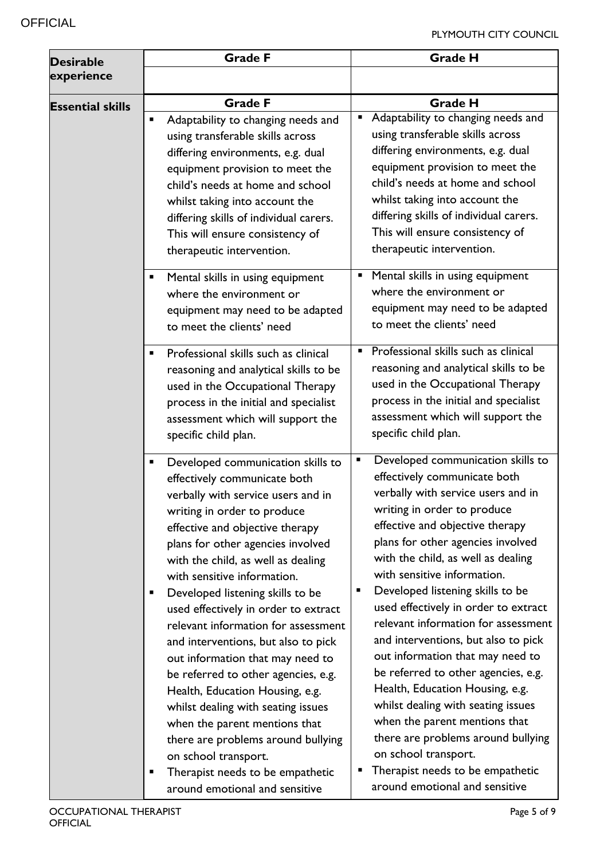| <b>Desirable</b>        | <b>Grade F</b>                                                                                                                                                                                                                                                                                                                                                                                                                                                                                                                                                                                                                                                                                                                                                                        | <b>Grade H</b>                                                                                                                                                                                                                                                                                                                                                                                                                                                                                                                                                                                                                                                                                                                                                                                |
|-------------------------|---------------------------------------------------------------------------------------------------------------------------------------------------------------------------------------------------------------------------------------------------------------------------------------------------------------------------------------------------------------------------------------------------------------------------------------------------------------------------------------------------------------------------------------------------------------------------------------------------------------------------------------------------------------------------------------------------------------------------------------------------------------------------------------|-----------------------------------------------------------------------------------------------------------------------------------------------------------------------------------------------------------------------------------------------------------------------------------------------------------------------------------------------------------------------------------------------------------------------------------------------------------------------------------------------------------------------------------------------------------------------------------------------------------------------------------------------------------------------------------------------------------------------------------------------------------------------------------------------|
| experience              |                                                                                                                                                                                                                                                                                                                                                                                                                                                                                                                                                                                                                                                                                                                                                                                       |                                                                                                                                                                                                                                                                                                                                                                                                                                                                                                                                                                                                                                                                                                                                                                                               |
| <b>Essential skills</b> | <b>Grade F</b><br>п                                                                                                                                                                                                                                                                                                                                                                                                                                                                                                                                                                                                                                                                                                                                                                   | <b>Grade H</b><br>Adaptability to changing needs and                                                                                                                                                                                                                                                                                                                                                                                                                                                                                                                                                                                                                                                                                                                                          |
|                         | Adaptability to changing needs and<br>using transferable skills across<br>differing environments, e.g. dual<br>equipment provision to meet the<br>child's needs at home and school<br>whilst taking into account the<br>differing skills of individual carers.<br>This will ensure consistency of<br>therapeutic intervention.<br>Mental skills in using equipment<br>п                                                                                                                                                                                                                                                                                                                                                                                                               | using transferable skills across<br>differing environments, e.g. dual<br>equipment provision to meet the<br>child's needs at home and school<br>whilst taking into account the<br>differing skills of individual carers.<br>This will ensure consistency of<br>therapeutic intervention.<br>Mental skills in using equipment                                                                                                                                                                                                                                                                                                                                                                                                                                                                  |
|                         | where the environment or<br>equipment may need to be adapted<br>to meet the clients' need                                                                                                                                                                                                                                                                                                                                                                                                                                                                                                                                                                                                                                                                                             | where the environment or<br>equipment may need to be adapted<br>to meet the clients' need                                                                                                                                                                                                                                                                                                                                                                                                                                                                                                                                                                                                                                                                                                     |
|                         | Professional skills such as clinical<br>reasoning and analytical skills to be<br>used in the Occupational Therapy<br>process in the initial and specialist<br>assessment which will support the<br>specific child plan.                                                                                                                                                                                                                                                                                                                                                                                                                                                                                                                                                               | Professional skills such as clinical<br>٠<br>reasoning and analytical skills to be<br>used in the Occupational Therapy<br>process in the initial and specialist<br>assessment which will support the<br>specific child plan.                                                                                                                                                                                                                                                                                                                                                                                                                                                                                                                                                                  |
|                         | Developed communication skills to<br>Ξ<br>effectively communicate both<br>verbally with service users and in<br>writing in order to produce<br>effective and objective therapy<br>plans for other agencies involved<br>with the child, as well as dealing<br>with sensitive information.<br>Developed listening skills to be<br>п<br>used effectively in order to extract<br>relevant information for assessment<br>and interventions, but also to pick<br>out information that may need to<br>be referred to other agencies, e.g.<br>Health, Education Housing, e.g.<br>whilst dealing with seating issues<br>when the parent mentions that<br>there are problems around bullying<br>on school transport.<br>Therapist needs to be empathetic<br>п<br>around emotional and sensitive | Developed communication skills to<br>$\blacksquare$<br>effectively communicate both<br>verbally with service users and in<br>writing in order to produce<br>effective and objective therapy<br>plans for other agencies involved<br>with the child, as well as dealing<br>with sensitive information.<br>Developed listening skills to be<br>п<br>used effectively in order to extract<br>relevant information for assessment<br>and interventions, but also to pick<br>out information that may need to<br>be referred to other agencies, e.g.<br>Health, Education Housing, e.g.<br>whilst dealing with seating issues<br>when the parent mentions that<br>there are problems around bullying<br>on school transport.<br>Therapist needs to be empathetic<br>around emotional and sensitive |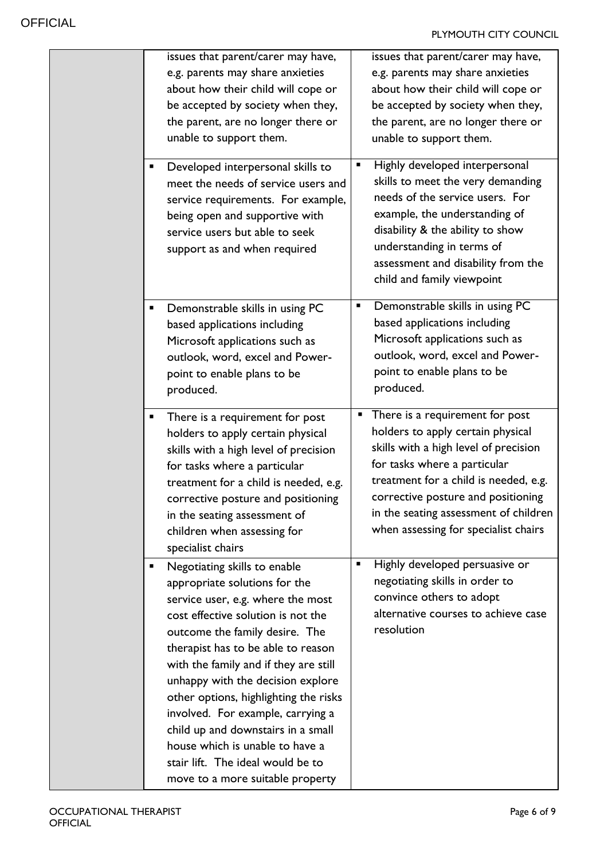| issues that parent/carer may have,<br>e.g. parents may share anxieties<br>about how their child will cope or<br>be accepted by society when they,<br>the parent, are no longer there or<br>unable to support them.<br>Developed interpersonal skills to<br>meet the needs of service users and<br>service requirements. For example,<br>being open and supportive with<br>service users but able to seek                                                                                                                       | issues that parent/carer may have,<br>e.g. parents may share anxieties<br>about how their child will cope or<br>be accepted by society when they,<br>the parent, are no longer there or<br>unable to support them.<br>Highly developed interpersonal<br>ш<br>skills to meet the very demanding<br>needs of the service users. For<br>example, the understanding of<br>disability & the ability to show |
|--------------------------------------------------------------------------------------------------------------------------------------------------------------------------------------------------------------------------------------------------------------------------------------------------------------------------------------------------------------------------------------------------------------------------------------------------------------------------------------------------------------------------------|--------------------------------------------------------------------------------------------------------------------------------------------------------------------------------------------------------------------------------------------------------------------------------------------------------------------------------------------------------------------------------------------------------|
| support as and when required<br>Demonstrable skills in using PC<br>based applications including<br>Microsoft applications such as<br>outlook, word, excel and Power-<br>point to enable plans to be<br>produced.                                                                                                                                                                                                                                                                                                               | understanding in terms of<br>assessment and disability from the<br>child and family viewpoint<br>Demonstrable skills in using PC<br>п<br>based applications including<br>Microsoft applications such as<br>outlook, word, excel and Power-<br>point to enable plans to be<br>produced.                                                                                                                 |
| There is a requirement for post<br>holders to apply certain physical<br>skills with a high level of precision<br>for tasks where a particular<br>treatment for a child is needed, e.g.<br>corrective posture and positioning<br>in the seating assessment of<br>children when assessing for<br>specialist chairs                                                                                                                                                                                                               | There is a requirement for post<br>٠<br>holders to apply certain physical<br>skills with a high level of precision<br>for tasks where a particular<br>treatment for a child is needed, e.g.<br>corrective posture and positioning<br>in the seating assessment of children<br>when assessing for specialist chairs                                                                                     |
| Negotiating skills to enable<br>appropriate solutions for the<br>service user, e.g. where the most<br>cost effective solution is not the<br>outcome the family desire. The<br>therapist has to be able to reason<br>with the family and if they are still<br>unhappy with the decision explore<br>other options, highlighting the risks<br>involved. For example, carrying a<br>child up and downstairs in a small<br>house which is unable to have a<br>stair lift. The ideal would be to<br>move to a more suitable property | Highly developed persuasive or<br>п<br>negotiating skills in order to<br>convince others to adopt<br>alternative courses to achieve case<br>resolution                                                                                                                                                                                                                                                 |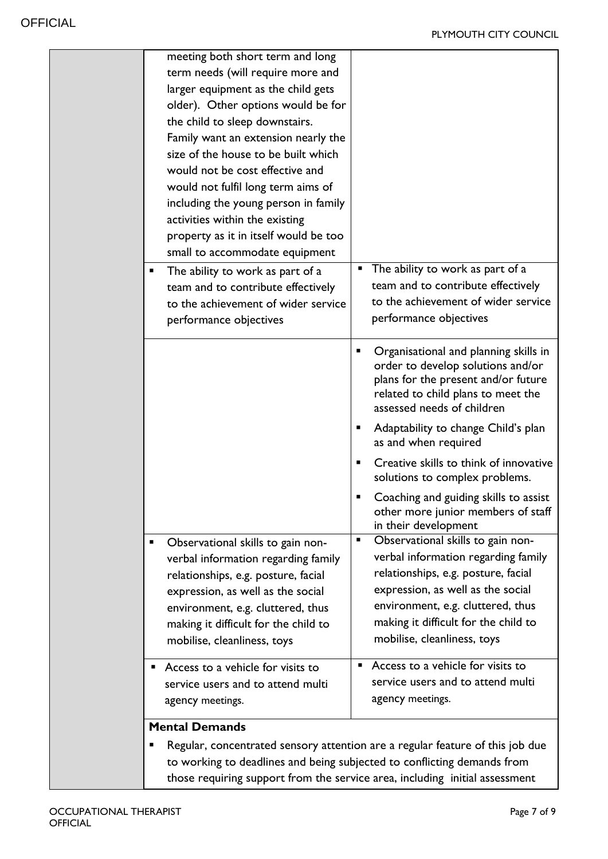| term needs (will require more and<br>larger equipment as the child gets<br>older). Other options would be for<br>the child to sleep downstairs.<br>Family want an extension nearly the<br>size of the house to be built which<br>would not be cost effective and<br>would not fulfil long term aims of<br>including the young person in family<br>activities within the existing<br>property as it in itself would be too<br>small to accommodate equipment<br>The ability to work as part of a<br>The ability to work as part of a<br>ш<br>team and to contribute effectively<br>team and to contribute effectively<br>to the achievement of wider service<br>to the achievement of wider service<br>performance objectives<br>performance objectives<br>Organisational and planning skills in<br>п<br>order to develop solutions and/or<br>plans for the present and/or future<br>related to child plans to meet the<br>assessed needs of children<br>Adaptability to change Child's plan<br>п<br>as and when required<br>Creative skills to think of innovative<br>п<br>solutions to complex problems.<br>Coaching and guiding skills to assist<br>other more junior members of staff<br>in their development<br>Observational skills to gain non-<br>$\blacksquare$<br>Observational skills to gain non-<br>п<br>verbal information regarding family<br>verbal information regarding family<br>relationships, e.g. posture, facial<br>relationships, e.g. posture, facial<br>expression, as well as the social<br>expression, as well as the social<br>environment, e.g. cluttered, thus<br>environment, e.g. cluttered, thus<br>making it difficult for the child to<br>making it difficult for the child to<br>mobilise, cleanliness, toys<br>mobilise, cleanliness, toys<br>Access to a vehicle for visits to<br>Access to a vehicle for visits to<br>п<br>service users and to attend multi<br>service users and to attend multi |                                                                                                                                                                                   |                  |
|------------------------------------------------------------------------------------------------------------------------------------------------------------------------------------------------------------------------------------------------------------------------------------------------------------------------------------------------------------------------------------------------------------------------------------------------------------------------------------------------------------------------------------------------------------------------------------------------------------------------------------------------------------------------------------------------------------------------------------------------------------------------------------------------------------------------------------------------------------------------------------------------------------------------------------------------------------------------------------------------------------------------------------------------------------------------------------------------------------------------------------------------------------------------------------------------------------------------------------------------------------------------------------------------------------------------------------------------------------------------------------------------------------------------------------------------------------------------------------------------------------------------------------------------------------------------------------------------------------------------------------------------------------------------------------------------------------------------------------------------------------------------------------------------------------------------------------------------------------------------------------------------------------------------------------------|-----------------------------------------------------------------------------------------------------------------------------------------------------------------------------------|------------------|
|                                                                                                                                                                                                                                                                                                                                                                                                                                                                                                                                                                                                                                                                                                                                                                                                                                                                                                                                                                                                                                                                                                                                                                                                                                                                                                                                                                                                                                                                                                                                                                                                                                                                                                                                                                                                                                                                                                                                          | meeting both short term and long                                                                                                                                                  |                  |
|                                                                                                                                                                                                                                                                                                                                                                                                                                                                                                                                                                                                                                                                                                                                                                                                                                                                                                                                                                                                                                                                                                                                                                                                                                                                                                                                                                                                                                                                                                                                                                                                                                                                                                                                                                                                                                                                                                                                          |                                                                                                                                                                                   |                  |
|                                                                                                                                                                                                                                                                                                                                                                                                                                                                                                                                                                                                                                                                                                                                                                                                                                                                                                                                                                                                                                                                                                                                                                                                                                                                                                                                                                                                                                                                                                                                                                                                                                                                                                                                                                                                                                                                                                                                          |                                                                                                                                                                                   |                  |
|                                                                                                                                                                                                                                                                                                                                                                                                                                                                                                                                                                                                                                                                                                                                                                                                                                                                                                                                                                                                                                                                                                                                                                                                                                                                                                                                                                                                                                                                                                                                                                                                                                                                                                                                                                                                                                                                                                                                          |                                                                                                                                                                                   |                  |
|                                                                                                                                                                                                                                                                                                                                                                                                                                                                                                                                                                                                                                                                                                                                                                                                                                                                                                                                                                                                                                                                                                                                                                                                                                                                                                                                                                                                                                                                                                                                                                                                                                                                                                                                                                                                                                                                                                                                          |                                                                                                                                                                                   |                  |
|                                                                                                                                                                                                                                                                                                                                                                                                                                                                                                                                                                                                                                                                                                                                                                                                                                                                                                                                                                                                                                                                                                                                                                                                                                                                                                                                                                                                                                                                                                                                                                                                                                                                                                                                                                                                                                                                                                                                          |                                                                                                                                                                                   |                  |
|                                                                                                                                                                                                                                                                                                                                                                                                                                                                                                                                                                                                                                                                                                                                                                                                                                                                                                                                                                                                                                                                                                                                                                                                                                                                                                                                                                                                                                                                                                                                                                                                                                                                                                                                                                                                                                                                                                                                          |                                                                                                                                                                                   |                  |
|                                                                                                                                                                                                                                                                                                                                                                                                                                                                                                                                                                                                                                                                                                                                                                                                                                                                                                                                                                                                                                                                                                                                                                                                                                                                                                                                                                                                                                                                                                                                                                                                                                                                                                                                                                                                                                                                                                                                          | agency meetings.                                                                                                                                                                  | agency meetings. |
|                                                                                                                                                                                                                                                                                                                                                                                                                                                                                                                                                                                                                                                                                                                                                                                                                                                                                                                                                                                                                                                                                                                                                                                                                                                                                                                                                                                                                                                                                                                                                                                                                                                                                                                                                                                                                                                                                                                                          | <b>Mental Demands</b><br>Regular, concentrated sensory attention are a regular feature of this job due<br>to working to deadlines and being subjected to conflicting demands from |                  |

those requiring support from the service area, including initial assessment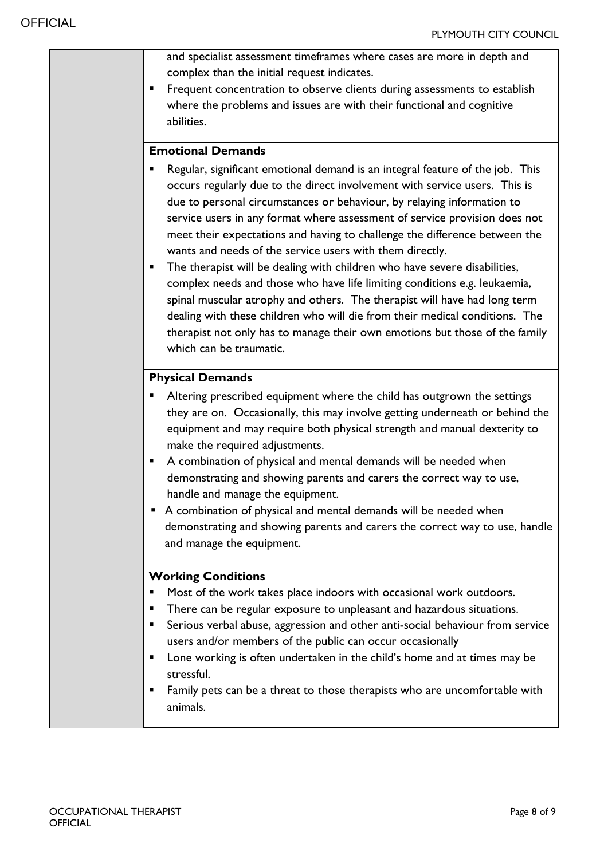| and specialist assessment timeframes where cases are more in depth and<br>complex than the initial request indicates.<br>Frequent concentration to observe clients during assessments to establish<br>п<br>where the problems and issues are with their functional and cognitive<br>abilities.                                                                                                                                                                                                                                                                                                                                                                                                                                                                                                                                                                                                                                 |
|--------------------------------------------------------------------------------------------------------------------------------------------------------------------------------------------------------------------------------------------------------------------------------------------------------------------------------------------------------------------------------------------------------------------------------------------------------------------------------------------------------------------------------------------------------------------------------------------------------------------------------------------------------------------------------------------------------------------------------------------------------------------------------------------------------------------------------------------------------------------------------------------------------------------------------|
| <b>Emotional Demands</b><br>Regular, significant emotional demand is an integral feature of the job. This<br>occurs regularly due to the direct involvement with service users. This is<br>due to personal circumstances or behaviour, by relaying information to<br>service users in any format where assessment of service provision does not<br>meet their expectations and having to challenge the difference between the<br>wants and needs of the service users with them directly.<br>The therapist will be dealing with children who have severe disabilities,<br>٠<br>complex needs and those who have life limiting conditions e.g. leukaemia,<br>spinal muscular atrophy and others. The therapist will have had long term<br>dealing with these children who will die from their medical conditions. The<br>therapist not only has to manage their own emotions but those of the family<br>which can be traumatic. |
| <b>Physical Demands</b><br>Altering prescribed equipment where the child has outgrown the settings<br>they are on. Occasionally, this may involve getting underneath or behind the<br>equipment and may require both physical strength and manual dexterity to<br>make the required adjustments.<br>A combination of physical and mental demands will be needed when<br>п<br>demonstrating and showing parents and carers the correct way to use,<br>handle and manage the equipment.<br>A combination of physical and mental demands will be needed when<br>demonstrating and showing parents and carers the correct way to use, handle<br>and manage the equipment.                                                                                                                                                                                                                                                          |
| <b>Working Conditions</b><br>Most of the work takes place indoors with occasional work outdoors.<br>There can be regular exposure to unpleasant and hazardous situations.<br>п<br>Serious verbal abuse, aggression and other anti-social behaviour from service<br>٠<br>users and/or members of the public can occur occasionally<br>Lone working is often undertaken in the child's home and at times may be<br>п<br>stressful.<br>Family pets can be a threat to those therapists who are uncomfortable with<br>٠<br>animals.                                                                                                                                                                                                                                                                                                                                                                                                |